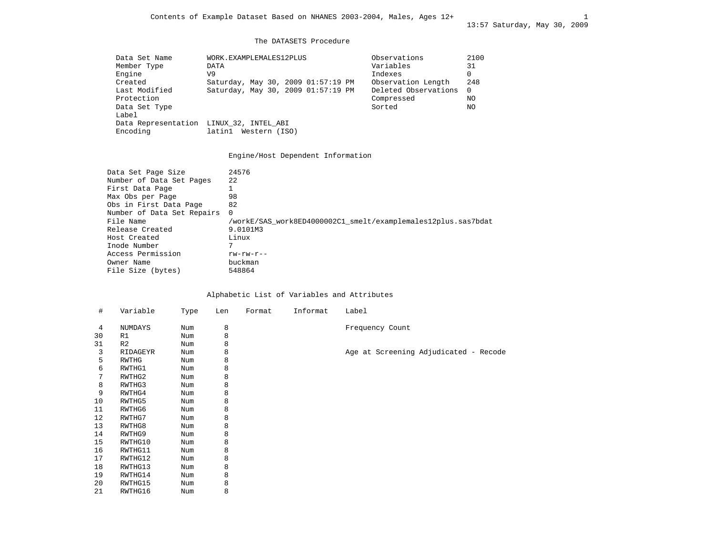#### The DATASETS Procedure

| Data Set Name                           | WORK.EXAMPLEMALES12PLUS            | Observations         | 2100 |
|-----------------------------------------|------------------------------------|----------------------|------|
| Member Type                             | DATA                               | Variables            | 31   |
| Engine                                  | V9                                 | Indexes              | 0    |
| Created                                 | Saturday, May 30, 2009 01:57:19 PM | Observation Length   | 248  |
| Last Modified                           | Saturday, May 30, 2009 01:57:19 PM | Deleted Observations | 0    |
| Protection                              |                                    | Compressed           | NO.  |
| Data Set Type                           |                                    | Sorted               | NO.  |
| Label                                   |                                    |                      |      |
| Data Representation LINUX 32, INTEL ABI |                                    |                      |      |
| Encoding                                | latin1<br>Western (ISO)            |                      |      |
|                                         |                                    |                      |      |

# Engine/Host Dependent Information

| Data Set Page Size         | 24576                                                         |
|----------------------------|---------------------------------------------------------------|
| Number of Data Set Pages   | 22                                                            |
| First Data Page            |                                                               |
| Max Obs per Page           | 98                                                            |
| Obs in First Data Page     | 82                                                            |
| Number of Data Set Repairs | $\Omega$                                                      |
| File Name                  | /workE/SAS work8ED4000002C1 smelt/examplemales12plus.sas7bdat |
| Release Created            | 9.0101M3                                                      |
| Host Created               | Linux                                                         |
| Inode Number               |                                                               |
| Access Permission          | $rw$ - $rw$ - $r$ --                                          |
| Owner Name                 | buckman                                                       |
| File Size (bytes)          | 548864                                                        |
|                            |                                                               |

## Alphabetic List of Variables and Attributes

| #  | Variable       | Type | Len | Format | Informat | Label                                 |
|----|----------------|------|-----|--------|----------|---------------------------------------|
| 4  | NUMDAYS        | Num  | 8   |        |          | Frequency Count                       |
| 30 | R1             | Num  | 8   |        |          |                                       |
| 31 | R <sub>2</sub> | Num  | 8   |        |          |                                       |
| 3  | RIDAGEYR       | Num  | 8   |        |          | Age at Screening Adjudicated - Recode |
| 5  | RWTHG          | Num  | 8   |        |          |                                       |
| 6  | RWTHG1         | Num  | 8   |        |          |                                       |
| 7  | RWTHG2         | Num  | 8   |        |          |                                       |
| 8  | RWTHG3         | Num  | 8   |        |          |                                       |
| 9  | RWTHG4         | Num  | 8   |        |          |                                       |
| 10 | RWTHG5         | Num  | 8   |        |          |                                       |
| 11 | RWTHG6         | Num  | 8   |        |          |                                       |
| 12 | RWTHG7         | Num  | 8   |        |          |                                       |
| 13 | RWTHG8         | Num  | 8   |        |          |                                       |
| 14 | RWTHG9         | Num  | 8   |        |          |                                       |
| 15 | RWTHG10        | Num  | 8   |        |          |                                       |
| 16 | RWTHG11        | Num  | 8   |        |          |                                       |
| 17 | RWTHG12        | Num  | 8   |        |          |                                       |
| 18 | RWTHG13        | Num  | 8   |        |          |                                       |
| 19 | RWTHG14        | Num  | 8   |        |          |                                       |
| 20 | RWTHG15        | Num  | 8   |        |          |                                       |
| 21 | RWTHG16        | Num  | 8   |        |          |                                       |
|    |                |      |     |        |          |                                       |